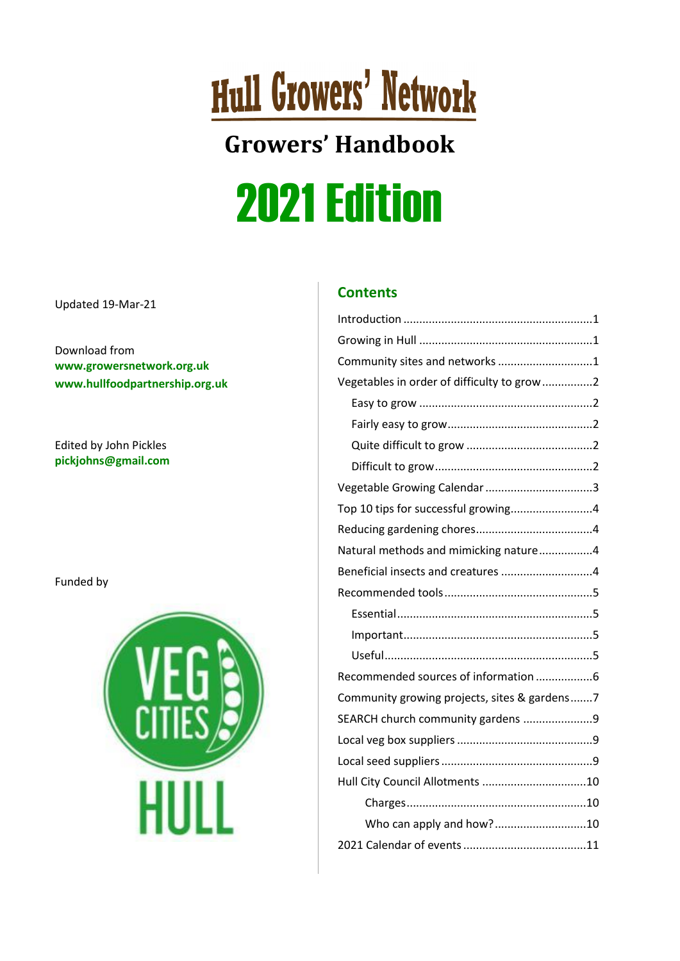## **Hull Growers' Network**

### **Growers' Handbook** 2021 Edition

Updated 19-Mar-21

Download from **[www.growersnetwork.org.uk](http://www.growersnetwork.org.uk/) [www.hullfoodpartnership.org.uk](http://www.hullfoodpartnership.org.uk/)**

Edited by John Pickles **[pickjohns@gmail.com](mailto:pickjohns@gmail.com)**

Funded by



#### **Contents**

| Community sites and networks 1               |
|----------------------------------------------|
| Vegetables in order of difficulty to grow 2  |
|                                              |
|                                              |
|                                              |
|                                              |
|                                              |
| Top 10 tips for successful growing4          |
|                                              |
| Natural methods and mimicking nature4        |
| Beneficial insects and creatures 4           |
|                                              |
|                                              |
|                                              |
|                                              |
|                                              |
| Recommended sources of information 6         |
| Community growing projects, sites & gardens7 |
| SEARCH church community gardens 9            |
|                                              |
|                                              |
|                                              |
|                                              |
| Who can apply and how?10                     |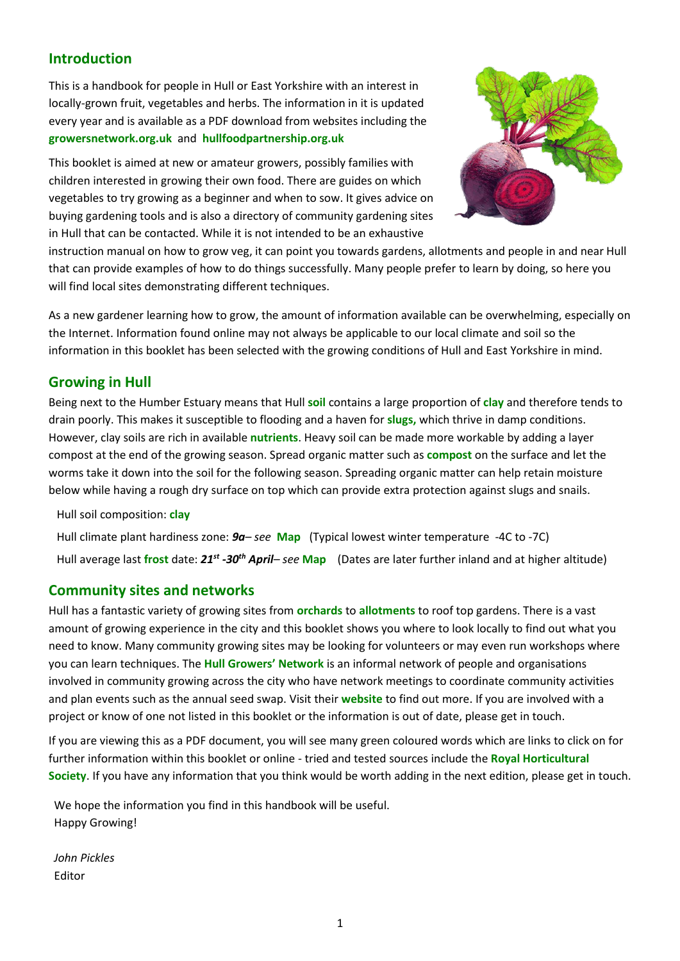#### <span id="page-1-0"></span>**Introduction**

This is a handbook for people in Hull or East Yorkshire with an interest in locally-grown fruit, vegetables and herbs. The information in it is updated every year and is available as a PDF download from websites including the **[growersnetwork.org.uk](http://www.growersnetwork.org.uk/)** and **[hullfoodpartnership.org.uk](http://www.hullfoodpartnership.org.uk/)**

This booklet is aimed at new or amateur growers, possibly families with children interested in growing their own food. There are guides on which vegetables to try growing as a beginner and when to sow. It gives advice on buying gardening tools and is also a directory of community gardening sites in Hull that can be contacted. While it is not intended to be an exhaustive



instruction manual on how to grow veg, it can point you towards gardens, allotments and people in and near Hull that can provide examples of how to do things successfully. Many people prefer to learn by doing, so here you will find local sites demonstrating different techniques.

As a new gardener learning how to grow, the amount of information available can be overwhelming, especially on the Internet. Information found online may not always be applicable to our local climate and soil so the information in this booklet has been selected with the growing conditions of Hull and East Yorkshire in mind.

#### <span id="page-1-1"></span>**Growing in Hull**

Being next to the Humber Estuary means that Hull **[soil](https://www.youtube.com/watch?v=Xyc1QL0-kVA)** contains a large proportion of **[clay](https://www.rhs.org.uk/advice/profile?PID=620)** and therefore tends to drain poorly. This makes it susceptible to flooding and a haven for **[slugs,](https://www.rhs.org.uk/advice/profile?pid=228)** which thrive in damp conditions. However, clay soils are rich in available **[nutrients](https://www.rhs.org.uk/advice/profile?pid=456)**. Heavy soil can be made more workable by adding a layer compost at the end of the growing season. Spread organic matter such as **[compost](https://www.youtube.com/watch?v=Kf6CGj7xpFE)** on the surface and let the worms take it down into the soil for the following season. Spreading organic matter can help retain moisture below while having a rough dry surface on top which can provide extra protection against slugs and snails.

Hull soil composition: **[clay](https://www.rhs.org.uk/advice/profile?PID=620)**

Hull climate plant hardiness zone: *9a– see* **[Map](https://www.plantmaps.com/interactive-united-kingdom-plant-hardiness-zone-map-celsius.php)** (Typical lowest winter temperature -4C to -7C) Hull average last **[frost](https://www.rhs.org.uk/Advice/Profile?PID=704)** date: *21st -30th April– see* **[Map](https://www.plantmaps.com/interactive-united-kingdom-last-frost-date-map.php)** (Dates are later further inland and at higher altitude)

#### <span id="page-1-2"></span>**Community sites and networks**

Hull has a fantastic variety of growing sites from **[orchards](http://www.hullorchard.co.uk/)** to **[allotments](http://www.hull.gov.uk/arts-and-leisure/leisure/allotments)** to roof top gardens. There is a vast amount of growing experience in the city and this booklet shows you where to look locally to find out what you need to know. Many community growing sites may be looking for volunteers or may even run workshops where you can learn techniques. The **Hull [Growers' Network](http://www.growersnetwork.org.uk/)** is an informal network of people and organisations involved in community growing across the city who have network meetings to coordinate community activities and plan events such as the annual seed swap. Visit their **[website](http://www.growersnetwork.org.uk/)** to find out more. If you are involved with a project or know of one not listed in this booklet or the information is out of date, please get in touch.

If you are viewing this as a PDF document, you will see many green coloured words which are links to click on for further information within this booklet or online - tried and tested sources include the **[Royal Horticultural](https://www.rhs.org.uk/advice/profile?PID=179)  [Society](https://www.rhs.org.uk/advice/profile?PID=179)**. If you have any information that you think would be worth adding in the next edition, please get in touch.

We hope the information you find in this handbook will be useful. Happy Growing!

*John Pickles* Editor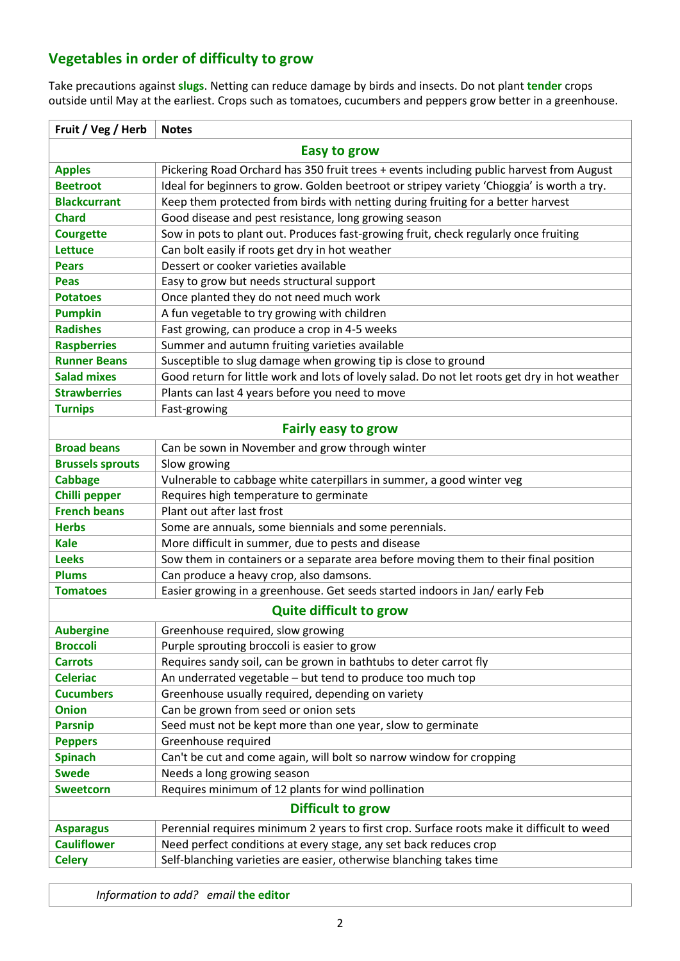#### <span id="page-2-0"></span>**Vegetables in order of difficulty to grow**

Take precautions against **[slugs](https://www.rhs.org.uk/advice/profile?pid=228)**. Netting can reduce damage by birds and insects. Do not plant **[tender](https://www.rhs.org.uk/Advice/Profile?PID=704)** crops outside until May at the earliest. Crops such as tomatoes, cucumbers and peppers grow better in a greenhouse.

<span id="page-2-2"></span><span id="page-2-1"></span>

| Fruit / Veg / Herb      | <b>Notes</b>                                                                                  |  |  |  |  |  |
|-------------------------|-----------------------------------------------------------------------------------------------|--|--|--|--|--|
| <b>Easy to grow</b>     |                                                                                               |  |  |  |  |  |
| <b>Apples</b>           | Pickering Road Orchard has 350 fruit trees + events including public harvest from August      |  |  |  |  |  |
| <b>Beetroot</b>         | Ideal for beginners to grow. Golden beetroot or stripey variety 'Chioggia' is worth a try.    |  |  |  |  |  |
| <b>Blackcurrant</b>     | Keep them protected from birds with netting during fruiting for a better harvest              |  |  |  |  |  |
| <b>Chard</b>            | Good disease and pest resistance, long growing season                                         |  |  |  |  |  |
| <b>Courgette</b>        | Sow in pots to plant out. Produces fast-growing fruit, check regularly once fruiting          |  |  |  |  |  |
| Lettuce                 | Can bolt easily if roots get dry in hot weather                                               |  |  |  |  |  |
| <b>Pears</b>            | Dessert or cooker varieties available                                                         |  |  |  |  |  |
| Peas                    | Easy to grow but needs structural support                                                     |  |  |  |  |  |
| <b>Potatoes</b>         | Once planted they do not need much work                                                       |  |  |  |  |  |
| <b>Pumpkin</b>          | A fun vegetable to try growing with children                                                  |  |  |  |  |  |
| <b>Radishes</b>         | Fast growing, can produce a crop in 4-5 weeks                                                 |  |  |  |  |  |
| <b>Raspberries</b>      | Summer and autumn fruiting varieties available                                                |  |  |  |  |  |
| <b>Runner Beans</b>     | Susceptible to slug damage when growing tip is close to ground                                |  |  |  |  |  |
| <b>Salad mixes</b>      | Good return for little work and lots of lovely salad. Do not let roots get dry in hot weather |  |  |  |  |  |
| <b>Strawberries</b>     | Plants can last 4 years before you need to move                                               |  |  |  |  |  |
| <b>Turnips</b>          | Fast-growing                                                                                  |  |  |  |  |  |
|                         | <b>Fairly easy to grow</b>                                                                    |  |  |  |  |  |
| <b>Broad beans</b>      | Can be sown in November and grow through winter                                               |  |  |  |  |  |
| <b>Brussels sprouts</b> | Slow growing                                                                                  |  |  |  |  |  |
| <b>Cabbage</b>          | Vulnerable to cabbage white caterpillars in summer, a good winter veg                         |  |  |  |  |  |
| <b>Chilli pepper</b>    | Requires high temperature to germinate                                                        |  |  |  |  |  |
| <b>French beans</b>     | Plant out after last frost                                                                    |  |  |  |  |  |
| <b>Herbs</b>            | Some are annuals, some biennials and some perennials.                                         |  |  |  |  |  |
| <b>Kale</b>             | More difficult in summer, due to pests and disease                                            |  |  |  |  |  |
| <b>Leeks</b>            | Sow them in containers or a separate area before moving them to their final position          |  |  |  |  |  |
| <b>Plums</b>            | Can produce a heavy crop, also damsons.                                                       |  |  |  |  |  |
| <b>Tomatoes</b>         | Easier growing in a greenhouse. Get seeds started indoors in Jan/ early Feb                   |  |  |  |  |  |
|                         | <b>Quite difficult to grow</b>                                                                |  |  |  |  |  |
| <b>Aubergine</b>        | Greenhouse required, slow growing                                                             |  |  |  |  |  |
| <b>Broccoli</b>         | Purple sprouting broccoli is easier to grow                                                   |  |  |  |  |  |
| <b>Carrots</b>          | Requires sandy soil, can be grown in bathtubs to deter carrot fly                             |  |  |  |  |  |
| <b>Celeriac</b>         | An underrated vegetable - but tend to produce too much top                                    |  |  |  |  |  |
| <b>Cucumbers</b>        | Greenhouse usually required, depending on variety                                             |  |  |  |  |  |
| <b>Onion</b>            | Can be grown from seed or onion sets                                                          |  |  |  |  |  |
| <b>Parsnip</b>          | Seed must not be kept more than one year, slow to germinate                                   |  |  |  |  |  |
| <b>Peppers</b>          | Greenhouse required                                                                           |  |  |  |  |  |
| <b>Spinach</b>          | Can't be cut and come again, will bolt so narrow window for cropping                          |  |  |  |  |  |
| <b>Swede</b>            | Needs a long growing season                                                                   |  |  |  |  |  |
| <b>Sweetcorn</b>        | Requires minimum of 12 plants for wind pollination                                            |  |  |  |  |  |
|                         | Difficult to grow                                                                             |  |  |  |  |  |
| <b>Asparagus</b>        | Perennial requires minimum 2 years to first crop. Surface roots make it difficult to weed     |  |  |  |  |  |
| <b>Cauliflower</b>      | Need perfect conditions at every stage, any set back reduces crop                             |  |  |  |  |  |
| <b>Celery</b>           | Self-blanching varieties are easier, otherwise blanching takes time                           |  |  |  |  |  |

<span id="page-2-4"></span><span id="page-2-3"></span>*Information to add? email* **[the editor](mailto:pickjohns@gmail.com)**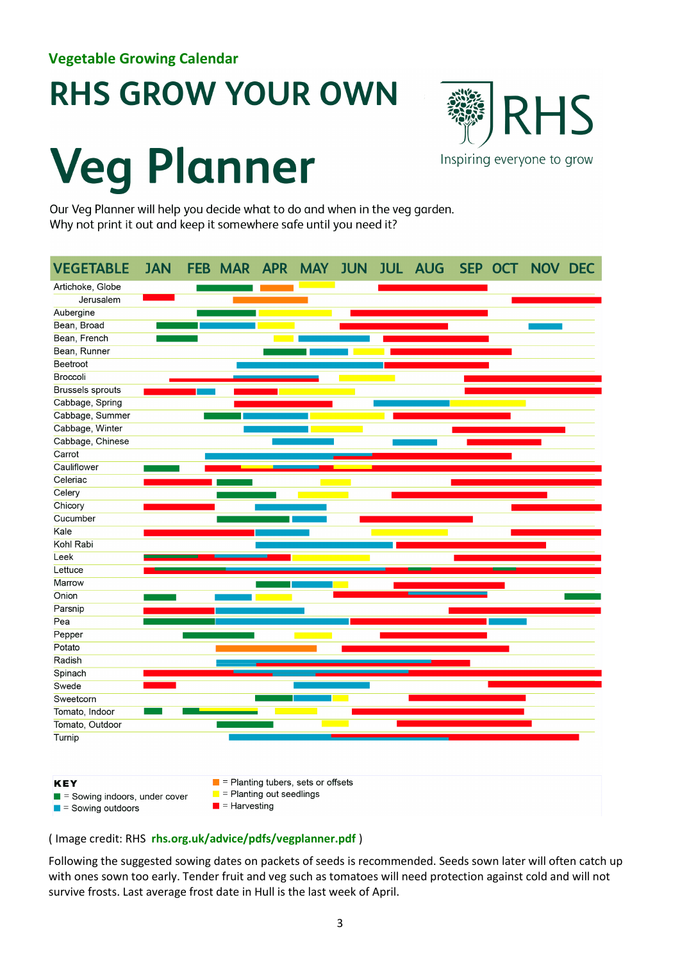### <span id="page-3-0"></span>**RHS GROW YOUR OWN**

# **Veg Planner**



Our Veg Planner will help you decide what to do and when in the veg garden. Why not print it out and keep it somewhere safe until you need it?



#### ( Image credit: RHS **[rhs.org.uk/advice/pdfs/vegplanner.pdf](https://www.rhs.org.uk/advice/pdfs/vegplanner.pdf)** )

Following the suggested sowing dates on packets of seeds is recommended. Seeds sown later will often catch up with ones sown too early. Tender fruit and veg such as tomatoes will need protection against cold and will not survive frosts. Last average frost date in Hull is the last week of April.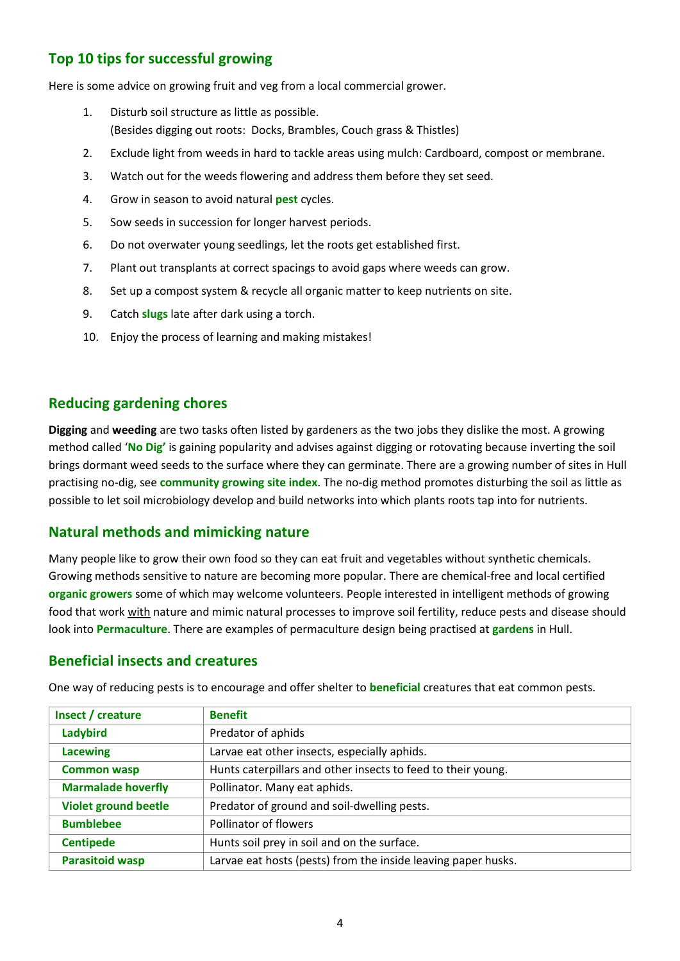#### <span id="page-4-0"></span>**Top 10 tips for successful growing**

Here is some advice on growing fruit and veg from a local commercial grower.

- 1. Disturb soil structure as little as possible. (Besides digging out roots: Docks, Brambles, Couch grass & Thistles)
- 2. Exclude light from weeds in hard to tackle areas using mulch: Cardboard, compost or membrane.
- 3. Watch out for the weeds flowering and address them before they set seed.
- 4. Grow in season to avoid natural **[pest](https://www.rhs.org.uk/advice/Common-Pest-Identification-Guide)** cycles.
- 5. Sow seeds in succession for longer harvest periods.
- 6. Do not overwater young seedlings, let the roots get established first.
- 7. Plant out transplants at correct spacings to avoid gaps where weeds can grow.
- 8. Set up a compost system & recycle all organic matter to keep nutrients on site.
- 9. Catch **[slugs](https://www.rhs.org.uk/advice/profile?pid=228)** late after dark using a torch.
- 10. Enjoy the process of learning and making mistakes!

#### <span id="page-4-1"></span>**Reducing gardening chores**

**Digging** and **weeding** are two tasks often listed by gardeners as the two jobs they dislike the most. A growing method called '**[No Dig'](https://charlesdowding.co.uk/start-here/)** is gaining popularity and advises against digging or rotovating because inverting the soil brings dormant weed seeds to the surface where they can germinate. There are a growing number of sites in Hull practising no-dig, see **[community growing site index](#page-7-0)**. The no-dig method promotes disturbing the soil as little as possible to let soil microbiology develop and build networks into which plants roots tap into for nutrients.

#### <span id="page-4-2"></span>**Natural methods and mimicking nature**

Many people like to grow their own food so they can eat fruit and vegetables without synthetic chemicals. Growing methods sensitive to nature are becoming more popular. There are chemical-free and local certified **organic growers** some of which may welcome volunteers. People interested in intelligent methods of growing food that work with nature and mimic natural processes to improve soil fertility, reduce pests and disease should look into **[Permaculture](http://www.permaculture.org.uk/)**. There are examples of permaculture design being practised at **[gardens](#page-7-0)** in Hull.

#### <span id="page-4-3"></span>**Beneficial insects and creatures**

| Insect / creature           | <b>Benefit</b>                                                |
|-----------------------------|---------------------------------------------------------------|
| Ladybird                    | Predator of aphids                                            |
| <b>Lacewing</b>             | Larvae eat other insects, especially aphids.                  |
| <b>Common wasp</b>          | Hunts caterpillars and other insects to feed to their young.  |
| <b>Marmalade hoverfly</b>   | Pollinator. Many eat aphids.                                  |
| <b>Violet ground beetle</b> | Predator of ground and soil-dwelling pests.                   |
| <b>Bumblebee</b>            | Pollinator of flowers                                         |
| <b>Centipede</b>            | Hunts soil prey in soil and on the surface.                   |
| <b>Parasitoid wasp</b>      | Larvae eat hosts (pests) from the inside leaving paper husks. |

One way of reducing pests is to encourage and offer shelter to **[beneficial](https://www.rhs.org.uk/advice/profile?PID=506)** creatures that eat common pests.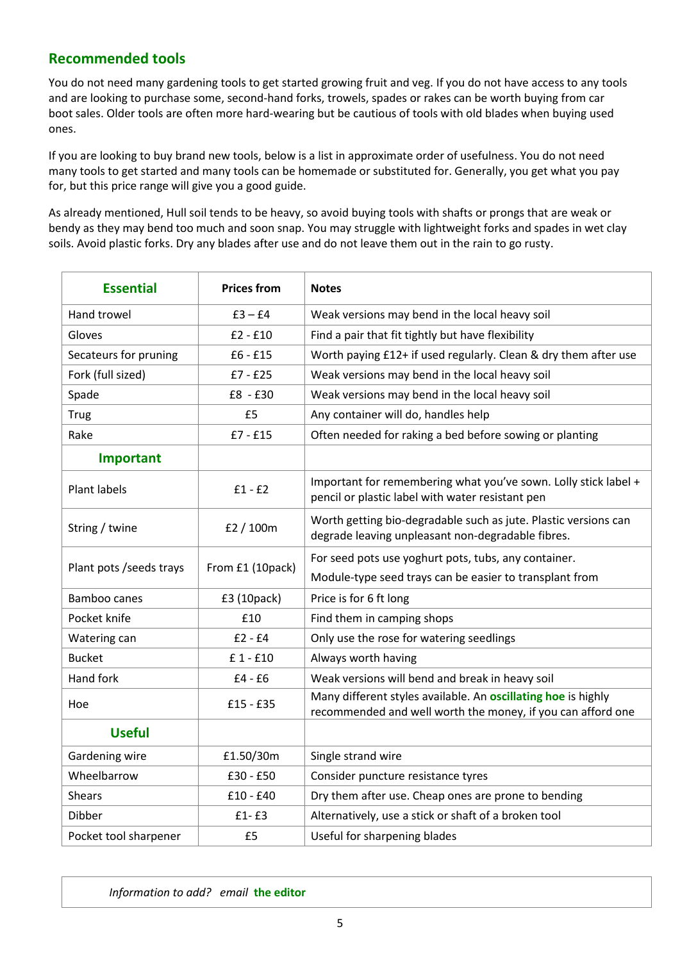#### <span id="page-5-0"></span>**Recommended tools**

You do not need many gardening tools to get started growing fruit and veg. If you do not have access to any tools and are looking to purchase some, second-hand forks, trowels, spades or rakes can be worth buying from car boot sales. Older tools are often more hard-wearing but be cautious of tools with old blades when buying used ones.

If you are looking to buy brand new tools, below is a list in approximate order of usefulness. You do not need many tools to get started and many tools can be homemade or substituted for. Generally, you get what you pay for, but this price range will give you a good guide.

As already mentioned, Hull soil tends to be heavy, so avoid buying tools with shafts or prongs that are weak or bendy as they may bend too much and soon snap. You may struggle with lightweight forks and spades in wet clay soils. Avoid plastic forks. Dry any blades after use and do not leave them out in the rain to go rusty.

<span id="page-5-2"></span><span id="page-5-1"></span>

| <b>Essential</b>         | <b>Prices from</b> | <b>Notes</b>                                                                                                                        |
|--------------------------|--------------------|-------------------------------------------------------------------------------------------------------------------------------------|
| <b>Hand trowel</b>       | $£3 - £4$          | Weak versions may bend in the local heavy soil                                                                                      |
| Gloves                   | $£2 - £10$         | Find a pair that fit tightly but have flexibility                                                                                   |
| Secateurs for pruning    | $£6 - £15$         | Worth paying £12+ if used regularly. Clean & dry them after use                                                                     |
| Fork (full sized)        | $£7 - £25$         | Weak versions may bend in the local heavy soil                                                                                      |
| Spade                    | £8 - £30           | Weak versions may bend in the local heavy soil                                                                                      |
| <b>Trug</b>              | £5                 | Any container will do, handles help                                                                                                 |
| Rake                     | $£7 - £15$         | Often needed for raking a bed before sowing or planting                                                                             |
| Important                |                    |                                                                                                                                     |
| <b>Plant labels</b>      | $£1 - £2$          | Important for remembering what you've sown. Lolly stick label +<br>pencil or plastic label with water resistant pen                 |
| String / twine           | £2 / 100m          | Worth getting bio-degradable such as jute. Plastic versions can<br>degrade leaving unpleasant non-degradable fibres.                |
| Plant pots / seeds trays | From £1 (10pack)   | For seed pots use yoghurt pots, tubs, any container.                                                                                |
|                          |                    | Module-type seed trays can be easier to transplant from                                                                             |
| <b>Bamboo canes</b>      | £3 (10pack)        | Price is for 6 ft long                                                                                                              |
| Pocket knife             | £10                | Find them in camping shops                                                                                                          |
| Watering can             | $£2 - £4$          | Only use the rose for watering seedlings                                                                                            |
| <b>Bucket</b>            | £ 1 - £10          | Always worth having                                                                                                                 |
| Hand fork                | $£4 - £6$          | Weak versions will bend and break in heavy soil                                                                                     |
| Hoe                      | $£15 - £35$        | Many different styles available. An <b>oscillating hoe</b> is highly<br>recommended and well worth the money, if you can afford one |
| <b>Useful</b>            |                    |                                                                                                                                     |
| Gardening wire           | £1.50/30m          | Single strand wire                                                                                                                  |
| Wheelbarrow              | $£30 - £50$        | Consider puncture resistance tyres                                                                                                  |
| <b>Shears</b>            | $£10 - £40$        | Dry them after use. Cheap ones are prone to bending                                                                                 |
| Dibber                   | $f1-f3$            | Alternatively, use a stick or shaft of a broken tool                                                                                |
| Pocket tool sharpener    | £5                 | Useful for sharpening blades                                                                                                        |

<span id="page-5-3"></span>*Information to add? email* **[the editor](mailto:pickjohns@gmail.com)**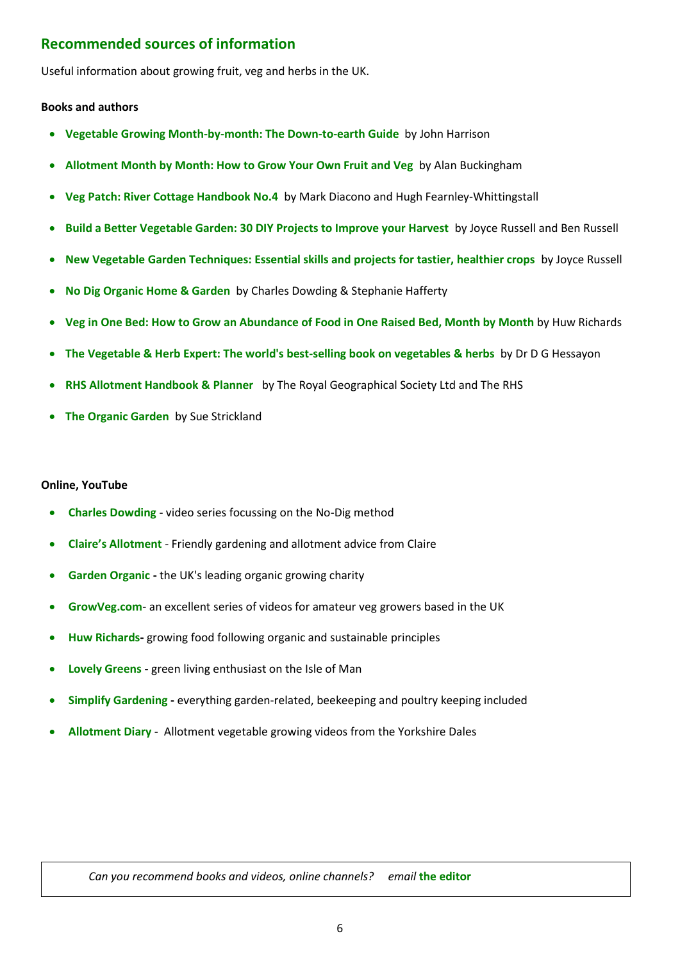#### <span id="page-6-0"></span>**Recommended sources of information**

Useful information about growing fruit, veg and herbs in the UK.

#### **Books and authors**

- **[Vegetable Growing Month-by-month: The Down-to-earth Guide](https://allotmentgardening.org.uk/vegetable-growing-month-by-month/)** by John Harrison
- **[Allotment Month by Month: How to Grow Your Own Fruit and Veg](https://www.waterstones.com/book/allotment-month-by-month/alan-buckingham/9781405340854)** by Alan Buckingham
- **[Veg Patch: River Cottage Handbook No.4](https://www.whsmith.co.uk/products/veg-patch-no-4/mark-diacono/hardback/9780747595342.html)** by Mark Diacono and Hugh Fearnley-Whittingstall
- **[Build a Better Vegetable Garden: 30 DIY Projects to Improve your Harvest](https://www.goodreads.com/book/show/31309507-build-a-better-vegetable-garden)** by Joyce Russell and Ben Russell
- **[New Vegetable Garden Techniques: Essential skills and projects for tastier, healthier crops](https://www.waterstones.com/book/new-vegetable-garden-techniques/joyce-russell/9781781318454)** by Joyce Russell
- **[No Dig Organic Home & Garden](https://charlesdowding.co.uk/product/no-dig-organic-home-garden/)** by Charles Dowding & Stephanie Hafferty
- **[Veg in One Bed: How to Grow an Abundance of Food in One Raised Bed, Month by Month](https://www.whsmith.co.uk/products/veg-in-one-bed-how-to-grow-an-abundance-of-food-in-one-raised-bed-month-by-month/huw-richards/hardback/9780241376522.html)** by Huw Richards
- **[The Vegetable & Herb Expert: The world's best-selling book on vegetables & herbs](https://www.waterstones.com/book/the-vegetable-and-herb-expert/d-g-hessayon/9780903505468)** by Dr D G Hessayon
- **[RHS Allotment Handbook & Planner](https://shop.rhs.org.uk/books/grow-your-own/allotments-kitchen-garden/rhs-allotment-handbook-and-planner)** by The Royal Geographical Society Ltd and The RHS
- **[The Organic Garden](https://www.goodreads.com/book/show/1419570.The_Organic_Garden)** by Sue Strickland

#### **Online, YouTube**

- **[Charles Dowding](https://www.youtube.com/c/CharlesDowding1nodig)** video series focussing on the No-Dig method
- **[Claire's Allotment](https://www.youtube.com/user/clairesallotment/videos)** Friendly gardening and allotment advice from Claire
- **[Garden Organic](https://www.youtube.com/user/GardenOrganic) -** the UK's leading organic growing charity
- **[GrowVeg.com](https://www.youtube.com/c/Growveg-Garden-Planning-Apps)** an excellent series of videos for amateur veg growers based in the UK
- **[Huw Richards-](https://www.youtube.com/c/HuwRichards)** growing food following organic and sustainable principles
- **[Lovely Greens](https://www.youtube.com/c/Lovelygreens) -** green living enthusiast on the Isle of Man
- **[Simplify Gardening](https://www.youtube.com/c/simplifygardening) -** everything garden-related, beekeeping and poultry keeping included
- **[Allotment Diary](https://www.youtube.com/user/allotmentdiary)** Allotment vegetable growing videos from the Yorkshire Dales

*Can you recommend books and videos, online channels? email* **[the editor](mailto:pickjohns@gmail.com)**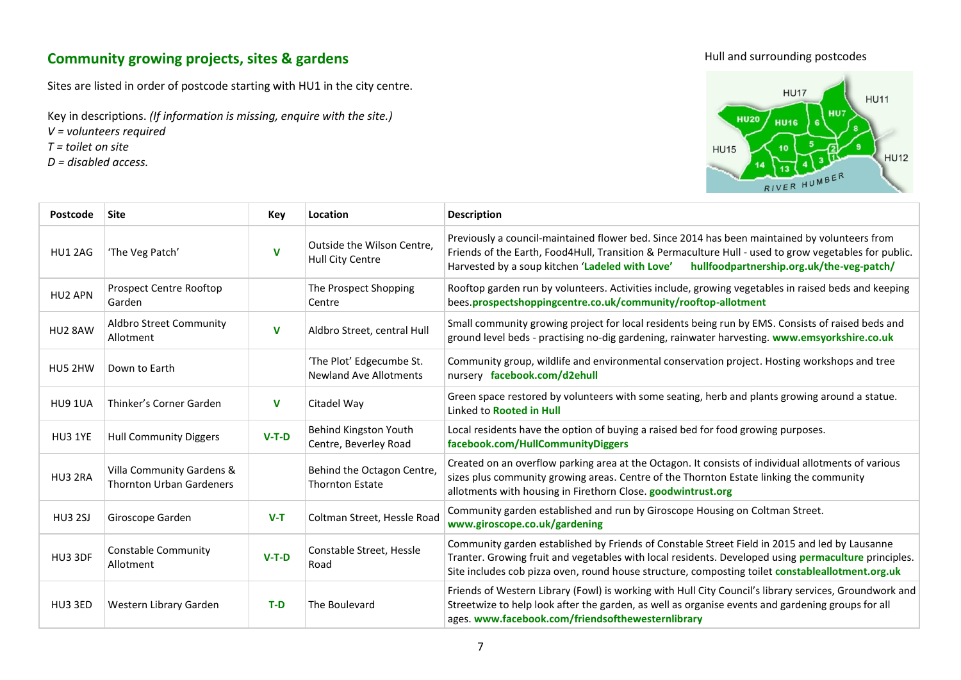#### **Community growing projects, sites & gardens**

Sites are listed in order of postcode starting with HU1 in the city centre.

Key in descriptions. *(If information is missing, enquire with the site.)*

*V = volunteers required* 

*T = toilet on site*

*D = disabled access.* 





<span id="page-7-0"></span>

| Postcode       | Site                                                         | Key         | Location                                                  | <b>Description</b>                                                                                                                                                                                                                                                                                               |  |
|----------------|--------------------------------------------------------------|-------------|-----------------------------------------------------------|------------------------------------------------------------------------------------------------------------------------------------------------------------------------------------------------------------------------------------------------------------------------------------------------------------------|--|
| HU1 2AG        | 'The Veg Patch'                                              | $\mathbf v$ | Outside the Wilson Centre,<br>Hull City Centre            | Previously a council-maintained flower bed. Since 2014 has been maintained by volunteers from<br>Friends of the Earth, Food4Hull, Transition & Permaculture Hull - used to grow vegetables for public.<br>Harvested by a soup kitchen 'Ladeled with Love'<br>hullfoodpartnership.org.uk/the-veg-patch/           |  |
| HU2 APN        | Prospect Centre Rooftop<br>Garden                            |             | The Prospect Shopping<br>Centre                           | Rooftop garden run by volunteers. Activities include, growing vegetables in raised beds and keeping<br>bees.prospectshoppingcentre.co.uk/community/rooftop-allotment                                                                                                                                             |  |
| HU2 8AW        | Aldbro Street Community<br>Allotment                         | V           | Aldbro Street, central Hull                               | Small community growing project for local residents being run by EMS. Consists of raised beds and<br>ground level beds - practising no-dig gardening, rainwater harvesting. www.emsyorkshire.co.uk                                                                                                               |  |
| HU5 2HW        | Down to Earth                                                |             | 'The Plot' Edgecumbe St.<br><b>Newland Ave Allotments</b> | Community group, wildlife and environmental conservation project. Hosting workshops and tree<br>nursery facebook.com/d2ehull                                                                                                                                                                                     |  |
| HU9 1UA        | Thinker's Corner Garden                                      | v           | Citadel Way                                               | Green space restored by volunteers with some seating, herb and plants growing around a statue.<br>Linked to Rooted in Hull                                                                                                                                                                                       |  |
| HU3 1YE        | <b>Hull Community Diggers</b>                                | $V-T-D$     | Behind Kingston Youth<br>Centre, Beverley Road            | Local residents have the option of buying a raised bed for food growing purposes.<br>facebook.com/HullCommunityDiggers                                                                                                                                                                                           |  |
| HU3 2RA        | Villa Community Gardens &<br><b>Thornton Urban Gardeners</b> |             | Behind the Octagon Centre,<br><b>Thornton Estate</b>      | Created on an overflow parking area at the Octagon. It consists of individual allotments of various<br>sizes plus community growing areas. Centre of the Thornton Estate linking the community<br>allotments with housing in Firethorn Close. goodwintrust.org                                                   |  |
| <b>HU3 2SJ</b> | Giroscope Garden                                             | $V-T$       | Coltman Street, Hessle Road                               | Community garden established and run by Giroscope Housing on Coltman Street.<br>www.giroscope.co.uk/gardening                                                                                                                                                                                                    |  |
| HU3 3DF        | <b>Constable Community</b><br>Allotment                      | $V-T-D$     | Constable Street, Hessle<br>Road                          | Community garden established by Friends of Constable Street Field in 2015 and led by Lausanne<br>Tranter. Growing fruit and vegetables with local residents. Developed using <b>permaculture</b> principles.<br>Site includes cob pizza oven, round house structure, composting toilet constableallotment.org.uk |  |
| HU3 3ED        | Western Library Garden                                       | $T-D$       | The Boulevard                                             | Friends of Western Library (Fowl) is working with Hull City Council's library services, Groundwork and<br>Streetwize to help look after the garden, as well as organise events and gardening groups for all<br>ages. www.facebook.com/friendsofthewesternlibrary                                                 |  |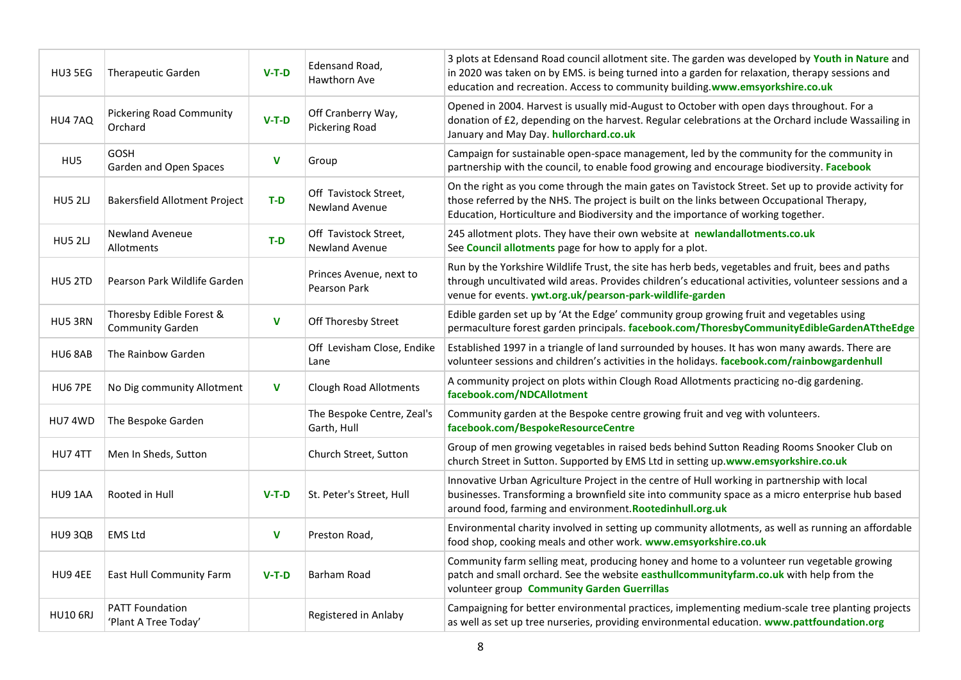| HU3 5EG         | Therapeutic Garden                                  | $V-T-D$     | Edensand Road,<br>Hawthorn Ave                 | 3 plots at Edensand Road council allotment site. The garden was developed by Youth in Nature and<br>in 2020 was taken on by EMS. is being turned into a garden for relaxation, therapy sessions and<br>education and recreation. Access to community building.www.emsyorkshire.co.uk  |  |
|-----------------|-----------------------------------------------------|-------------|------------------------------------------------|---------------------------------------------------------------------------------------------------------------------------------------------------------------------------------------------------------------------------------------------------------------------------------------|--|
| HU4 7AQ         | <b>Pickering Road Community</b><br>Orchard          | $V-T-D$     | Off Cranberry Way,<br><b>Pickering Road</b>    | Opened in 2004. Harvest is usually mid-August to October with open days throughout. For a<br>donation of £2, depending on the harvest. Regular celebrations at the Orchard include Wassailing in<br>January and May Day. hullorchard.co.uk                                            |  |
| HU <sub>5</sub> | GOSH<br>Garden and Open Spaces                      | $\mathbf v$ | Group                                          | Campaign for sustainable open-space management, led by the community for the community in<br>partnership with the council, to enable food growing and encourage biodiversity. Facebook                                                                                                |  |
| <b>HU5 2LJ</b>  | <b>Bakersfield Allotment Project</b>                | $T-D$       | Off Tavistock Street,<br><b>Newland Avenue</b> | On the right as you come through the main gates on Tavistock Street. Set up to provide activity for<br>those referred by the NHS. The project is built on the links between Occupational Therapy,<br>Education, Horticulture and Biodiversity and the importance of working together. |  |
| <b>HU5 2LJ</b>  | <b>Newland Aveneue</b><br>Allotments                | T-D         | Off Tavistock Street,<br><b>Newland Avenue</b> | 245 allotment plots. They have their own website at newlandallotments.co.uk<br>See Council allotments page for how to apply for a plot.                                                                                                                                               |  |
| HU5 2TD         | Pearson Park Wildlife Garden                        |             | Princes Avenue, next to<br>Pearson Park        | Run by the Yorkshire Wildlife Trust, the site has herb beds, vegetables and fruit, bees and paths<br>through uncultivated wild areas. Provides children's educational activities, volunteer sessions and a<br>venue for events. ywt.org.uk/pearson-park-wildlife-garden               |  |
| HU5 3RN         | Thoresby Edible Forest &<br><b>Community Garden</b> | $\mathbf v$ | Off Thoresby Street                            | Edible garden set up by 'At the Edge' community group growing fruit and vegetables using<br>permaculture forest garden principals. facebook.com/ThoresbyCommunityEdibleGardenATtheEdge                                                                                                |  |
| HU6 8AB         | The Rainbow Garden                                  |             | Off Levisham Close, Endike<br>Lane             | Established 1997 in a triangle of land surrounded by houses. It has won many awards. There are<br>volunteer sessions and children's activities in the holidays. facebook.com/rainbowgardenhull                                                                                        |  |
| HU6 7PE         | No Dig community Allotment                          | V           | <b>Clough Road Allotments</b>                  | A community project on plots within Clough Road Allotments practicing no-dig gardening.<br>facebook.com/NDCAllotment                                                                                                                                                                  |  |
| HU74WD          | The Bespoke Garden                                  |             | The Bespoke Centre, Zeal's<br>Garth, Hull      | Community garden at the Bespoke centre growing fruit and veg with volunteers.<br>facebook.com/BespokeResourceCentre                                                                                                                                                                   |  |
| HU7 4TT         | Men In Sheds, Sutton                                |             | Church Street, Sutton                          | Group of men growing vegetables in raised beds behind Sutton Reading Rooms Snooker Club on<br>church Street in Sutton. Supported by EMS Ltd in setting up.www.emsyorkshire.co.uk                                                                                                      |  |
| HU9 1AA         | Rooted in Hull                                      | $V-T-D$     | St. Peter's Street, Hull                       | Innovative Urban Agriculture Project in the centre of Hull working in partnership with local<br>businesses. Transforming a brownfield site into community space as a micro enterprise hub based<br>around food, farming and environment. Rootedinhull.org.uk                          |  |
| HU9 3QB         | <b>EMS Ltd</b>                                      | $\mathbf v$ | Preston Road,                                  | Environmental charity involved in setting up community allotments, as well as running an affordable<br>food shop, cooking meals and other work. www.emsyorkshire.co.uk                                                                                                                |  |
| HU9 4EE         | East Hull Community Farm                            | $V-T-D$     | Barham Road                                    | Community farm selling meat, producing honey and home to a volunteer run vegetable growing<br>patch and small orchard. See the website easthullcommunityfarm.co.uk with help from the<br>volunteer group Community Garden Guerrillas                                                  |  |
| <b>HU10 6RJ</b> | <b>PATT Foundation</b><br>'Plant A Tree Today'      |             | Registered in Anlaby                           | Campaigning for better environmental practices, implementing medium-scale tree planting projects<br>as well as set up tree nurseries, providing environmental education. www.pattfoundation.org                                                                                       |  |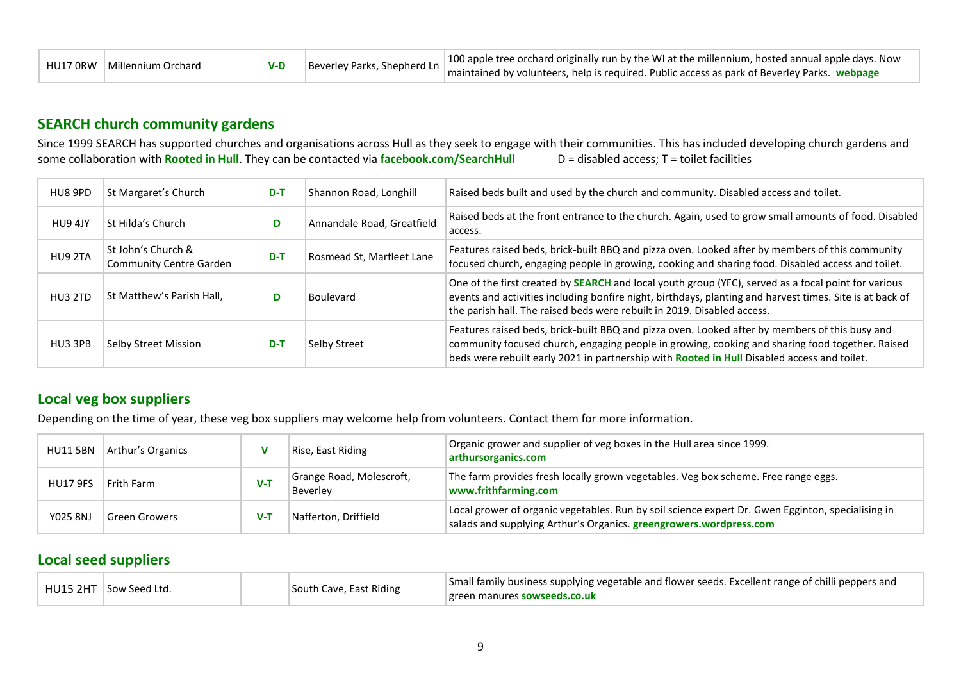| HU17 ORW | Millennium Orchard |  | Beverley Parks, Shepherd Ln | 100 apple tree orchard originally run by the WI at the millennium, hosted annual apple days. Now<br>maintained by volunteers, help is required. Public access as park of Beverley Parks. webpage |
|----------|--------------------|--|-----------------------------|--------------------------------------------------------------------------------------------------------------------------------------------------------------------------------------------------|
|----------|--------------------|--|-----------------------------|--------------------------------------------------------------------------------------------------------------------------------------------------------------------------------------------------|

#### **SEARCH church community gardens**

Since 1999 SEARCH has supported churches and organisations across Hull as they seek to engage with their communities. This has included developing church gardens and<br>some collaboration with Rooted in Hull. They can be cont some collaboration with **[Rooted in Hull](http://www.rootedinhull.org.uk/)**. They can be contacted via **[facebook.com/SearchHull](https://www.facebook.com/SearchHull)** 

| HU8 9PD | St Margaret's Church                                 | $D-T$ | Shannon Road, Longhill                                                                                                                                                                                                            | Raised beds built and used by the church and community. Disabled access and toilet.                                                                                                                                                                                                               |  |
|---------|------------------------------------------------------|-------|-----------------------------------------------------------------------------------------------------------------------------------------------------------------------------------------------------------------------------------|---------------------------------------------------------------------------------------------------------------------------------------------------------------------------------------------------------------------------------------------------------------------------------------------------|--|
| HU9 4JY | St Hilda's Church                                    | D     | Annandale Road, Greatfield                                                                                                                                                                                                        | Raised beds at the front entrance to the church. Again, used to grow small amounts of food. Disabled<br>access.                                                                                                                                                                                   |  |
| HU9 2TA | St John's Church &<br><b>Community Centre Garden</b> | $D-T$ | Features raised beds, brick-built BBQ and pizza oven. Looked after by members of this community<br>Rosmead St, Marfleet Lane<br>focused church, engaging people in growing, cooking and sharing food. Disabled access and toilet. |                                                                                                                                                                                                                                                                                                   |  |
| HU3 2TD | St Matthew's Parish Hall,<br><b>Boulevard</b>        |       |                                                                                                                                                                                                                                   | One of the first created by <b>SEARCH</b> and local youth group (YFC), served as a focal point for various<br>events and activities including bonfire night, birthdays, planting and harvest times. Site is at back of<br>the parish hall. The raised beds were rebuilt in 2019. Disabled access. |  |
| HU3 3PB | Selby Street Mission<br>Selby Street<br>$D-T$        |       |                                                                                                                                                                                                                                   | Features raised beds, brick-built BBQ and pizza oven. Looked after by members of this busy and<br>community focused church, engaging people in growing, cooking and sharing food together. Raised<br>beds were rebuilt early 2021 in partnership with Rooted in Hull Disabled access and toilet.  |  |

#### <span id="page-9-0"></span>**Local veg box suppliers**

Depending on the time of year, these veg box suppliers may welcome help from volunteers. Contact them for more information.

| <b>HU11 5BN</b> | Arthur's Organics |     | Rise, East Riding                    | Organic grower and supplier of veg boxes in the Hull area since 1999.<br>arthursorganics.com                                                                            |  |
|-----------------|-------------------|-----|--------------------------------------|-------------------------------------------------------------------------------------------------------------------------------------------------------------------------|--|
| <b>HU17 9FS</b> | Frith Farm        | V-T | Grange Road, Molescroft,<br>Beverley | The farm provides fresh locally grown vegetables. Veg box scheme. Free range eggs.<br>www.frithfarming.com                                                              |  |
| Y025 8NJ        | Green Growers     | V-1 | Nafferton, Driffield                 | Local grower of organic vegetables. Run by soil science expert Dr. Gwen Egginton, specialising in<br>salads and supplying Arthur's Organics. greengrowers.wordpress.com |  |

#### **Local seed suppliers**

<span id="page-9-2"></span><span id="page-9-1"></span>

|  | $^{\circ}$ HU15 2HT $\,$ Sow Seed Ltd. | South Cave, East Riding | Small family business supplying vegetable and flower seeds. Excellent range of chilli peppers and<br>green manures sowseeds.co.uk |
|--|----------------------------------------|-------------------------|-----------------------------------------------------------------------------------------------------------------------------------|
|--|----------------------------------------|-------------------------|-----------------------------------------------------------------------------------------------------------------------------------|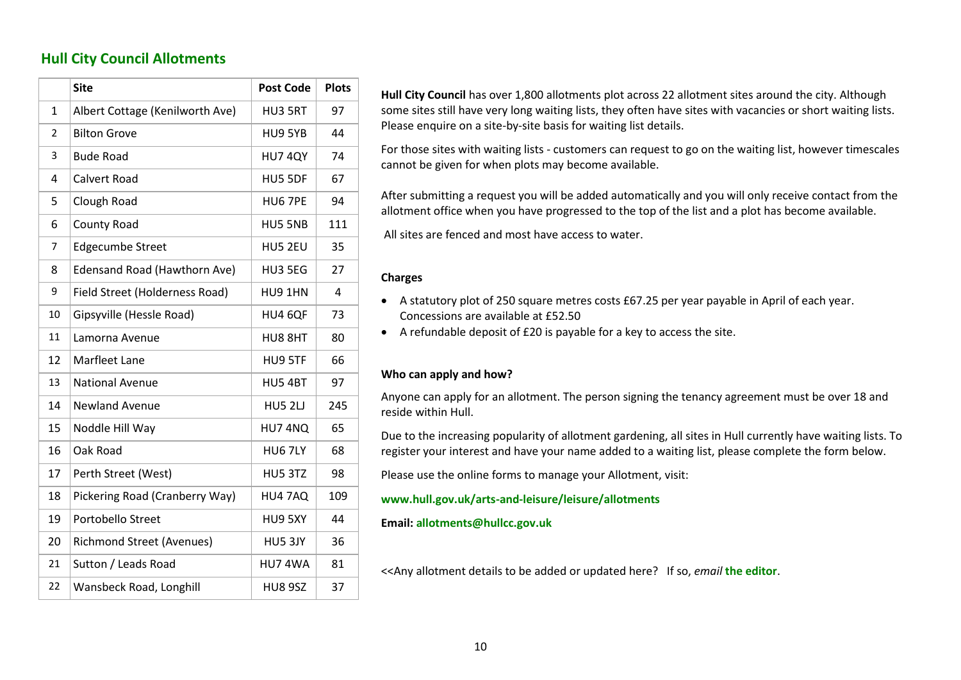#### <span id="page-10-3"></span>**Hull City Council Allotments**

<span id="page-10-0"></span>

|                | <b>Site</b>                         | <b>Post Code</b> | <b>Plots</b> |
|----------------|-------------------------------------|------------------|--------------|
| 1              | Albert Cottage (Kenilworth Ave)     | HU3 5RT          | 97           |
| $\overline{2}$ | <b>Bilton Grove</b>                 | HU9 5YB          | 44           |
| 3              | <b>Bude Road</b>                    | <b>HU7 4QY</b>   | 74           |
| 4              | <b>Calvert Road</b>                 | HU5 5DF          | 67           |
| 5              | Clough Road                         | HU6 7PE          | 94           |
| 6              | County Road                         | HU5 5NB          | 111          |
| 7              | <b>Edgecumbe Street</b>             | HU5 2EU          | 35           |
| 8              | <b>Edensand Road (Hawthorn Ave)</b> | HU3 5EG          | 27           |
| 9              | Field Street (Holderness Road)      | HU9 1HN          | 4            |
| 10             | Gipsyville (Hessle Road)            | HU4 6QF          | 73           |
| 11             | Lamorna Avenue                      | HU8 8HT          | 80           |
| 12             | <b>Marfleet Lane</b>                | HU9 5TF          | 66           |
| 13             | <b>National Avenue</b>              | <b>HU5 4BT</b>   | 97           |
| 14             | <b>Newland Avenue</b>               | <b>HU5 2LJ</b>   | 245          |
| 15             | Noddle Hill Way                     | HU7 4NQ          | 65           |
| 16             | Oak Road                            | <b>HU6 7LY</b>   | 68           |
| 17             | Perth Street (West)                 | HU5 3TZ          | 98           |
| 18             | Pickering Road (Cranberry Way)      | HU4 7AQ          | 109          |
| 19             | Portobello Street                   | HU9 5XY          | 44           |
| 20             | <b>Richmond Street (Avenues)</b>    | HU5 3JY          | 36           |
| 21             | Sutton / Leads Road                 | HU74WA           | 81           |
| 22             | Wansbeck Road, Longhill             | <b>HU8 9SZ</b>   | 37           |

**Hull City Council** has over 1,800 allotments plot across 22 allotment sites around the city. Although some sites still have very long waiting lists, they often have sites with vacancies or short waiting lists. Please enquire on a site-by-site basis for waiting list details.

For those sites with waiting lists - customers can request to go on the waiting list, however timescales cannot be given for when plots may become available.

After submitting a request you will be added automatically and you will only receive contact from the allotment office when you have progressed to the top of the list and a plot has become available.

All sites are fenced and most have access to water.

#### **Charges**

- A statutory plot of 250 square metres costs £67.25 per year payable in April of each year. Concessions are available at £52.50
- A refundable deposit of £20 is payable for a key to access the site.

#### **Who can apply and how?**

Anyone can apply for an allotment. The person signing the tenancy agreement must be over 18 and reside within Hull.

Due to the increasing popularity of allotment gardening, all sites in Hull currently have waiting lists. To register your interest and have your name added to a waiting list, please complete the form below.

Please use the online forms to manage your Allotment, visit:

#### **[www.hull.gov.uk/arts-and-leisure/leisure/allotments](http://www.hull.gov.uk/arts-and-leisure/leisure/allotments)**

#### <span id="page-10-1"></span>**Email: [allotments@hullcc.gov.uk](mailto:allotments@hullcc.gov.uk)**

<span id="page-10-2"></span><<Any allotment details to be added or updated here? If so, *email* **[the editor](mailto:%20pickjohns@gmail.com)**.